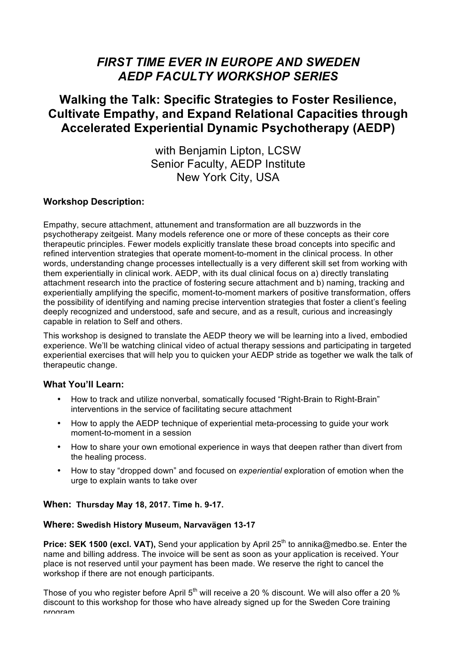# *FIRST TIME EVER IN EUROPE AND SWEDEN AEDP FACULTY WORKSHOP SERIES*

## **Walking the Talk: Specific Strategies to Foster Resilience, Cultivate Empathy, and Expand Relational Capacities through Accelerated Experiential Dynamic Psychotherapy (AEDP)**

with Benjamin Lipton, LCSW Senior Faculty, AEDP Institute New York City, USA

### **Workshop Description:**

Empathy, secure attachment, attunement and transformation are all buzzwords in the psychotherapy zeitgeist. Many models reference one or more of these concepts as their core therapeutic principles. Fewer models explicitly translate these broad concepts into specific and refined intervention strategies that operate moment-to-moment in the clinical process. In other words, understanding change processes intellectually is a very different skill set from working with them experientially in clinical work. AEDP, with its dual clinical focus on a) directly translating attachment research into the practice of fostering secure attachment and b) naming, tracking and experientially amplifying the specific, moment-to-moment markers of positive transformation, offers the possibility of identifying and naming precise intervention strategies that foster a client's feeling deeply recognized and understood, safe and secure, and as a result, curious and increasingly capable in relation to Self and others.

This workshop is designed to translate the AEDP theory we will be learning into a lived, embodied experience. We'll be watching clinical video of actual therapy sessions and participating in targeted experiential exercises that will help you to quicken your AEDP stride as together we walk the talk of therapeutic change.

### **What You'll Learn:**

- How to track and utilize nonverbal, somatically focused "Right-Brain to Right-Brain" interventions in the service of facilitating secure attachment
- How to apply the AEDP technique of experiential meta-processing to guide your work moment-to-moment in a session
- How to share your own emotional experience in ways that deepen rather than divert from the healing process.
- How to stay "dropped down" and focused on *experiential* exploration of emotion when the urge to explain wants to take over

#### **When: Thursday May 18, 2017. Time h. 9-17.**

#### **Where: Swedish History Museum, Narvavägen 13-17**

**Price: SEK 1500 (excl. VAT),** Send your application by April 25<sup>th</sup> to annika@medbo.se. Enter the name and billing address. The invoice will be sent as soon as your application is received. Your place is not reserved until your payment has been made. We reserve the right to cancel the workshop if there are not enough participants.

Those of you who register before April  $5<sup>th</sup>$  will receive a 20 % discount. We will also offer a 20 % discount to this workshop for those who have already signed up for the Sweden Core training program.